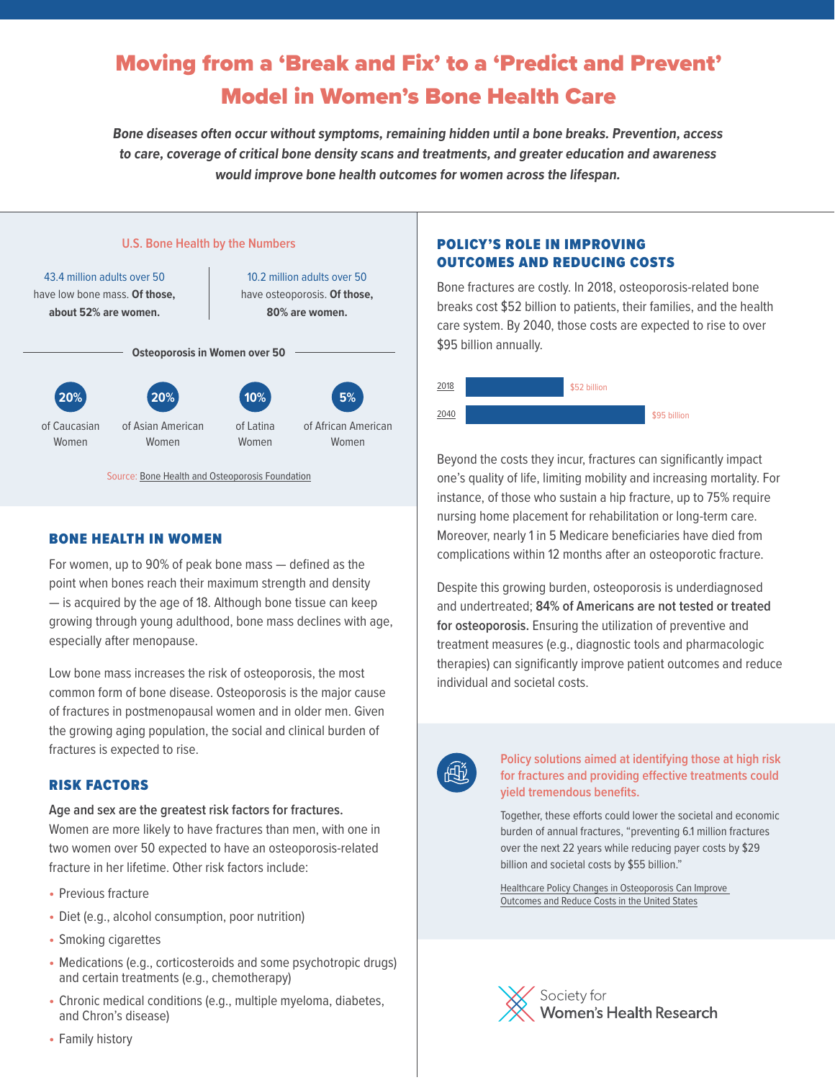# Moving from a 'Break and Fix' to a 'Predict and Prevent' Model in Women's Bone Health Care

**Bone diseases often occur without symptoms, remaining hidden until a bone breaks. Prevention, access to care, coverage of critical bone density scans and treatments, and greater education and awareness would improve bone health outcomes for women across the lifespan.**



# BONE HEALTH IN WOMEN

For women, up to 90% of peak bone mass — defined as the point when bones reach their maximum strength and density — is acquired by the age of 18. Although bone tissue can keep growing through young adulthood, bone mass declines with age, especially after menopause.

Low bone mass increases the risk of osteoporosis, the most common form of bone disease. Osteoporosis is the major cause of fractures in postmenopausal women and in older men. Given the growing aging population, the social and clinical burden of fractures is expected to rise.

# RISK FACTORS

**Age and sex are the greatest risk factors for fractures.**  Women are more likely to have fractures than men, with one in two women over 50 expected to have an osteoporosis-related fracture in her lifetime. Other risk factors include:

- **•** Previous fracture
- **•** Diet (e.g., alcohol consumption, poor nutrition)
- **•** Smoking cigarettes
- **•** Medications (e.g., corticosteroids and some psychotropic drugs) and certain treatments (e.g., chemotherapy)
- **•** Chronic medical conditions (e.g., multiple myeloma, diabetes, and Chron's disease)

## POLICY'S ROLE IN IMPROVING OUTCOMES AND REDUCING COSTS

Bone fractures are costly. In 2018, osteoporosis-related bone breaks cost \$52 billion to patients, their families, and the health care system. By 2040, those costs are expected to rise to over \$95 billion annually.



Beyond the costs they incur, fractures can significantly impact one's quality of life, limiting mobility and increasing mortality. For instance, of those who sustain a hip fracture, up to 75% require nursing home placement for rehabilitation or long-term care. Moreover, nearly 1 in 5 Medicare beneficiaries have died from complications within 12 months after an osteoporotic fracture.

Despite this growing burden, osteoporosis is underdiagnosed and undertreated; **84% of Americans are not tested or treated for osteoporosis.** Ensuring the utilization of preventive and treatment measures (e.g., diagnostic tools and pharmacologic therapies) can significantly improve patient outcomes and reduce individual and societal costs.



### **Policy solutions aimed at identifying those at high risk for fractures and providing effective treatments could yield tremendous benefits.**

Together, these efforts could lower the societal and economic burden of annual fractures, "preventing 6.1 million fractures over the next 22 years while reducing payer costs by \$29 billion and societal costs by \$55 billion."

Healthcare Policy Changes in Osteoporosis Can Improve [Outcomes and Reduce Costs in the United States](https://asbmr.onlinelibrary.wiley.com/doi/10.1002/jbm4.10192)



**•** Family history